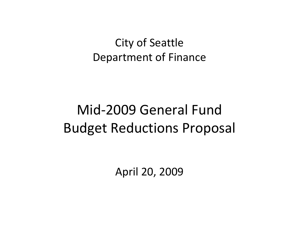### City of Seattle Department of Finance

## Mid‐2009 General FundBudget Reductions Proposal

April 20, 2009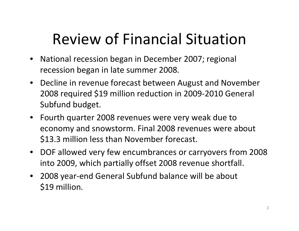## Review of Financial Situation

- $\bullet$  National recession began in December 2007; regional recession began in late summer 2008.
- Decline in revenue forecast between August and November 2008 required \$19 million reduction in 2009‐2010 General Subfund budget.
- Fourth quarter 2008 revenues were very weak due to economy and snowstorm. Final 2008 revenues were about \$13.3 million less than November forecast.
- DOF allowed very few encumbrances or carryovers from 2008 into 2009, which partially offset 2008 revenue shortfall.
- 2008 year‐end General Subfund balance will be about \$19 million.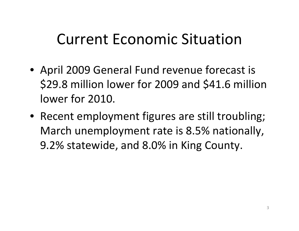## Current Economic Situation

- April 2009 General Fund revenue forecast is \$29.8 million lower for 2009 and \$41.6 million lower for 2010.
- Recent employment figures are still troubling; March unemployment rate is 8.5% nationally, 9.2% statewide, and 8.0% in King County.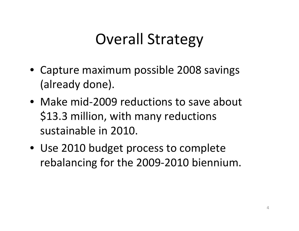## Overall Strategy

- Capture maximum possible 2008 savings (already done).
- Make mid-2009 reductions to save about \$13.3 million, with many reductions sustainable in 2010.
- Use 2010 budget process to complete rebalancing for the 2009‐2010 biennium.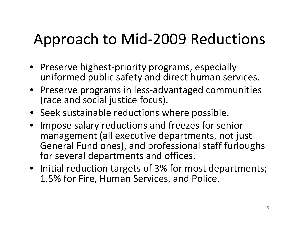## Approach to Mid‐2009 Reductions

- Preserve highest‐priority programs, especially uniformed public safety and direct human services.
- Preserve programs in less‐advantaged communities (race and social justice focus).
- Seek sustainable reductions where possible.
- Impose salary reductions and freezes for senior management (all executive departments, not just General Fund ones), and professional staff furloughs for several departments and offices.
- Initial reduction targets of 3% for most departments; 1.5% for Fire, Human Services, and Police.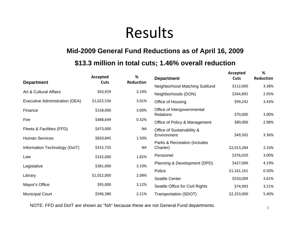## Results

#### **Mid-2009 General Fund Reductions as of April 16, 2009**

#### **\$13.3 million in total cuts; 1.46% overall reduction**

|                                | Accepted<br>Cuts | %<br><b>Reduction</b> | <b>Department</b>                               | Accepted<br>Cuts | ℅<br><b>Reduction</b> |
|--------------------------------|------------------|-----------------------|-------------------------------------------------|------------------|-----------------------|
| <b>Department</b>              |                  |                       | Neighborhood Matching Subfund                   | \$112,000        | 3.38%                 |
| Art & Cultural Affairs         | \$93,929         | 3.19%                 | Neighborhoods (DON)                             | \$264,892        | 2.95%                 |
| Executive Administration (DEA) | \$1,022,536      | 3.01%                 | Office of Housing                               | \$99,242         | 3.43%                 |
| Finance                        | \$158,000        | 3.00%                 | Office of Intergovernmental<br><b>Relations</b> | \$70,000         | 3.00%                 |
| Fire                           | \$488,649        | 0.32%                 | Office of Policy & Management                   | \$80,000         | 2.98%                 |
| Fleets & Facilities (FFD)      | \$473,000        | NA                    | Office of Sustainability &                      |                  |                       |
| <b>Human Services</b>          | \$820,845        | 1.50%                 | Environment                                     | \$49,502         | 3.36%                 |
| Information Technology (DoIT)  | \$315,733        | <b>NA</b>             | Parks & Recreation (includes<br>Charter)        | \$2,013,284      | 2.33%                 |
| Law                            | \$332,000        | 1.82%                 | Personnel                                       | \$376,020        | 3.00%                 |
| Legislative                    | \$381,000        | 3.10%                 | Planning & Development (DPD)                    | \$427,000        | 4.19%                 |
|                                |                  |                       | Police                                          | \$1,161,161      | 0.50%                 |
| Library                        | \$1,022,000      | 2.08%                 | <b>Seattle Center</b>                           | \$550,009        | 3.61%                 |
| Mayor's Office                 | \$95,000         | 3.12%                 | Seattle Office for Civil Rights                 | \$74,993         | 3.21%                 |
| <b>Municipal Court</b>         | \$596,380        | 2.21%                 | <b>Transportation (SDOT)</b>                    | \$2,253,000      | 5.40%                 |

NOTE: FFD and DoIT are shown as "NA" because these are not General Fund departments.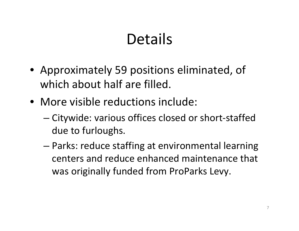## Details

- Approximately 59 positions eliminated, of which about half are filled.
- More visible reductions include:
	- and the state of the state Citywide: various offices closed or short‐staffed due to furloughs.
	- – Parks: reduce staffing at environmental learning centers and reduce enhanced maintenance that was originally funded from ProParks Levy.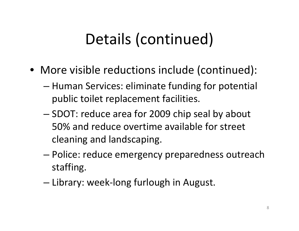# Details (continued)

- More visible reductions include (continued):
	- and the state of the state  $-$  Human Services: eliminate funding for potential public toilet replacement facilities.
	- and the state of the state – SDOT: reduce area for 2009 chip seal by about 50% and reduce overtime available for street cleaning and landscaping.
	- and the state of the state Police: reduce emergency preparedness outreach staffing.
	- –— Library: week-long furlough in August.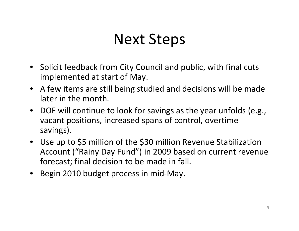## Next Steps

- Solicit feedback from City Council and public, with final cuts implemented at start of May.
- A few items are still being studied and decisions will be made later in the month.
- DOF will continue to look for savings as the year unfolds (e.g., vacant positions, increased spans of control, overtime savings).
- Use up to \$5 million of the \$30 million Revenue Stabilization Account ("Rainy Day Fund") in 2009 based on current revenue forecast; final decision to be made in fall.
- •Begin 2010 budget process in mid‐May.